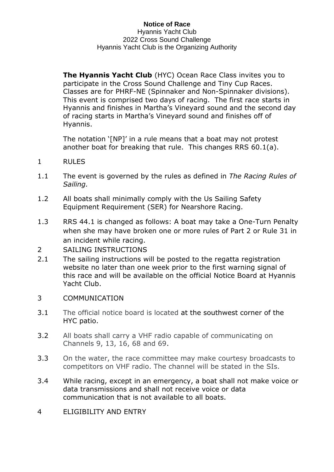**The Hyannis Yacht Club** (HYC) Ocean Race Class invites you to participate in the Cross Sound Challenge and Tiny Cup Races. Classes are for PHRF-NE (Spinnaker and Non-Spinnaker divisions). This event is comprised two days of racing. The first race starts in Hyannis and finishes in Martha's Vineyard sound and the second day of racing starts in Martha's Vineyard sound and finishes off of Hyannis.

The notation '[NP]' in a rule means that a boat may not protest another boat for breaking that rule. This changes RRS 60.1(a).

- 1 RULES
- 1.1 The event is governed by the rules as defined in *The Racing Rules of Sailing.*
- 1.2 All boats shall minimally comply with the Us Sailing Safety Equipment Requirement (SER) for Nearshore Racing.
- 1.3 RRS 44.1 is changed as follows: A boat may take a One-Turn Penalty when she may have broken one or more rules of Part 2 or Rule 31 in an incident while racing.
- 2 SAILING INSTRUCTIONS
- 2.1 The sailing instructions will be posted to the regatta registration website no later than one week prior to the first warning signal of this race and will be available on the official Notice Board at Hyannis Yacht Club.

## 3 COMMUNICATION

- 3.1 The official notice board is located at [the](https://hyannisyachtclub.org/racing) southwest corner of the HYC patio.
- 3.2 All boats shall carry a VHF radio capable of communicating on Channels 9, 13, 16, 68 and 69.
- 3.3 On the water, the race committee may make courtesy broadcasts to competitors on VHF radio. The channel will be stated in the SIs.
- 3.4 While racing, except in an emergency, a boat shall not make voice or data transmissions and shall not receive voice or data communication that is not available to all boats.
- 4 ELIGIBILITY AND ENTRY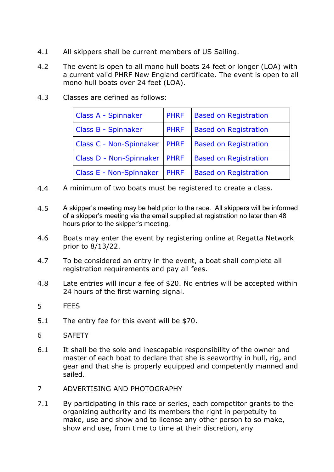- 4.1 All skippers shall be current members of US Sailing.
- 4.2 The event is open to all mono hull boats 24 feet or longer (LOA) with a current valid PHRF New England certificate. The event is open to all mono hull boats over 24 feet (LOA).
- 4.3 Classes are defined as follows:

| Class A - Spinnaker            | <b>PHRF</b> | <b>Based on Registration</b> |  |
|--------------------------------|-------------|------------------------------|--|
| Class B - Spinnaker            | <b>PHRF</b> | <b>Based on Registration</b> |  |
| <b>Class C - Non-Spinnaker</b> | <b>PHRF</b> | <b>Based on Registration</b> |  |
| Class D - Non-Spinnaker        | <b>PHRF</b> | <b>Based on Registration</b> |  |
| <b>Class E - Non-Spinnaker</b> | <b>PHRF</b> | <b>Based on Registration</b> |  |

- 4.4 A minimum of two boats must be registered to create a class.
- 4.5 A skipper's meeting may be held prior to the race. All skippers will be informed of a skipper's meeting via the email supplied at registration no later than 48 hours prior to the skipper's meeting.
- 4.6 Boats may enter the event by registering online at Regatta Network prior to 8/13/22.
- 4.7 To be considered an entry in the event, a boat shall complete all registration requirements and pay all fees.
- 4.8 Late entries will incur a fee of \$20. No entries will be accepted within 24 hours of the first warning signal.
- 5 FEES
- 5.1 The entry fee for this event will be \$70.
- 6 SAFETY
- 6.1 It shall be the sole and inescapable responsibility of the owner and master of each boat to declare that she is seaworthy in hull, rig, and gear and that she is properly equipped and competently manned and sailed.
- 7 ADVERTISING AND PHOTOGRAPHY
- 7.1 By participating in this race or series, each competitor grants to the organizing authority and its members the right in perpetuity to make, use and show and to license any other person to so make, show and use, from time to time at their discretion, any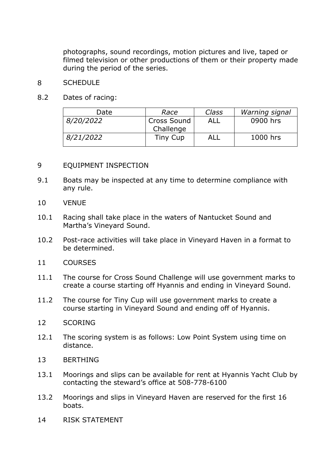photographs, sound recordings, motion pictures and live, taped or filmed television or other productions of them or their property made during the period of the series.

## 8 SCHEDULE

8.2 Dates of racing:

| Date      | Race        | Class | Warning signal |
|-----------|-------------|-------|----------------|
| 8/20/2022 | Cross Sound | ALL   | 0900 hrs       |
|           | Challenge   |       |                |
| 8/21/2022 | Tiny Cup    | ALL   | 1000 hrs       |

## 9 EQUIPMENT INSPECTION

- 9.1 Boats may be inspected at any time to determine compliance with any rule.
- 10 VENUE
- 10.1 Racing shall take place in the waters of Nantucket Sound and Martha's Vineyard Sound.
- 10.2 Post-race activities will take place in Vineyard Haven in a format to be determined.
- 11 COURSES
- 11.1 The course for Cross Sound Challenge will use government marks to create a course starting off Hyannis and ending in Vineyard Sound.
- 11.2 The course for Tiny Cup will use government marks to create a course starting in Vineyard Sound and ending off of Hyannis.
- 12 SCORING
- 12.1 The scoring system is as follows: Low Point System using time on distance.
- 13 BERTHING
- 13.1 Moorings and slips can be available for rent at Hyannis Yacht Club by contacting the steward's office at 508-778-6100
- 13.2 Moorings and slips in Vineyard Haven are reserved for the first 16 boats.
- 14 RISK STATEMENT